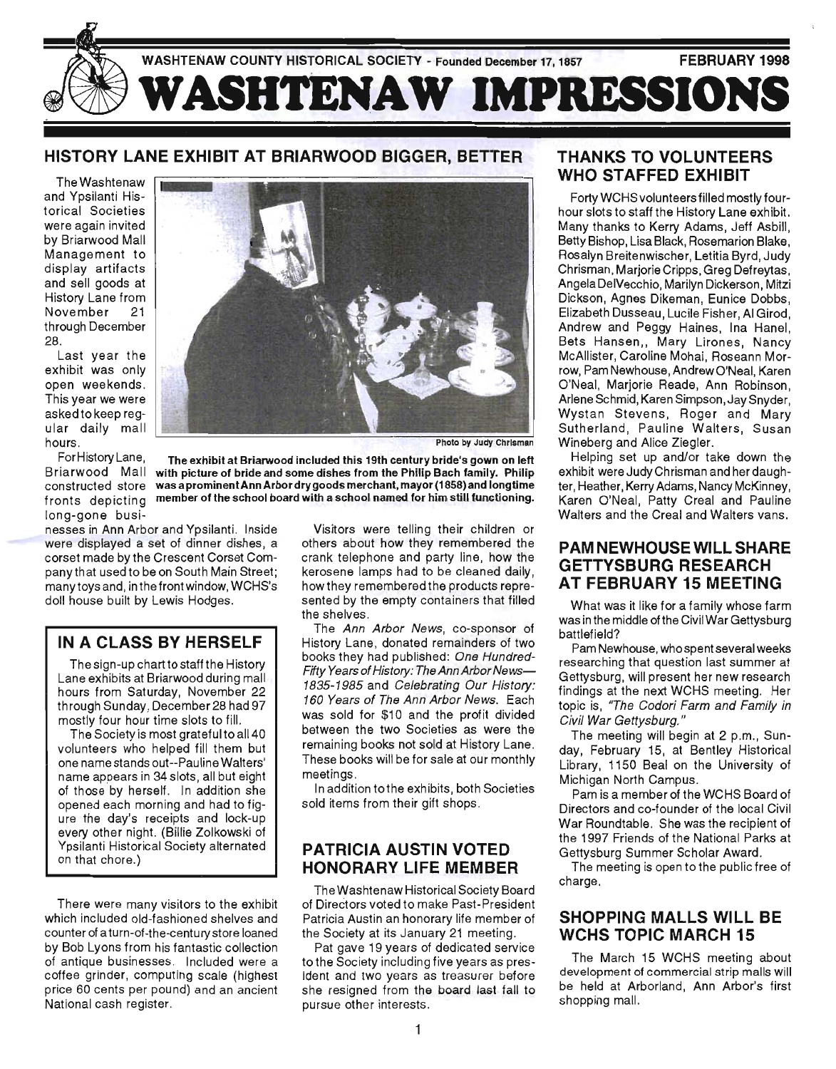

# HISTORY LANE EXHIBIT AT BRIARWOOD BIGGER, BETTER

The Washtenaw and Ypsilanti Historical Societies were again invited by Briarwood Mall Management to display artifacts and sell goods at History Lane from November 21 through December 28.

Last year the exhibit was only open weekends. This year we were asked to keep regular daily mall hours.

For History Lane, long-gone busi-

nesses in Ann Arbor and Ypsilanti. Inside were displayed a set of dinner dishes, a corset made by the Crescent Corset Companythat usedto be on South Main Street; many toys and, inthefrontwindow, WCHS's doll house built by Lewis Hodges.

#### IN A CLASS BY HERSELF

The sign-up chart to staff the History Lane exhibits at Briarwood during mall hours from Saturday, November 22 through Sunday, December 28 had 97 mostly four hour time slots to fill.

The Society is most grateful to all 40 volunteers who helped fill them but one name stands out--Pauline Walters' name appears in 34 slots, all but eight of those by herself. In addition she opened each morning and had to figure the day's receipts and lock-up every other night. (Billie Zolkowski of Ypsilanti Historical Society alternated on that chore.)

There were many visitors to the exhibit which included old-fashioned shelves and counter of a turn-of-the-century store loaned by Bob Lyons from his fantastic collection of antique businesses . Included were a coffee grinder, computing scale (highest price 60 cents per pound) and an ancient National cash register.



Photo by Judy Chrisman

Briarwood Mall with picture of bride and some dishes from the Philip Bach family. Philip constructed store was a prominentAnn Arbor dry goods merchant, mayor (1858) and longtime ronts depicting member of the school board with a school named for him still functioning. The exhibit at Briarwood included this 19th century bride's gown on left

> Visitors were telling their children or others about how they remembered the crank telephone and party line, how the kerosene lamps had to be cleaned daily, how they remembered the products represented by the empty containers that filled the shelves .

> The Ann Arbor News, co-sponsor of History Lane, donated remainders of two books they had published: One Hundred-Fifty Years of History: The Ann Arbor News-1835-1985 and Celebrating Our History: 160 Years of The Ann Arbor News. Each was sold for \$10 and the profit divided between the two Societies as were the remaining books not sold at History Lane. These books will be for sale at our monthly meetings.

> In addition tothe exhibits, both Societies sold items from their gift shops.

#### PATRICIA AUSTIN VOTED HONORARY LIFE MEMBER

The Washtenaw Historical Society Board of Directors voted to make Past-President Patricia Austin an honorary life member of the Society at its January 21 meeting.

Pat gave 19 years of dedicated service to the Society including five years as president and two years as treasurer before she resigned from the board last fall to pursue other interests.

#### THANKS TO VOLUNTEERS WHO STAFFED EXHIBIT

Forty WCHS volunteers filled mostly fourhour slots to staff the History Lane exhibit. Many thanks to Kerry Adams, Jeff Asbill, Betty Bishop, Lisa Black, Rosemarion Blake, Rosalyn Breitenwischer, Letitia Byrd, Judy Chrisman, Marjorie Cripps, Greg Defreytas, Angela DelVecchio, Marilyn Dickerson, Mitzi Dickson, Agnes Dikeman, Eunice Dobbs, Elizabeth Dusseau, Lucile Fisher, AI Girod, Andrew and Peggy Haines, Ina Hanel, Bets Hansen,, Mary Lirones, Nancy McAllister, Caroline Mohai, Roseann Morrow, Pam Newhouse, Andrew O'Neal, Karen O'Neal, Marjorie Reade, Ann Robinson, Arlene Schmid, Karen Simpson, Jay Snyder, Wystan Stevens, Roger and Mary Sutherland, Pauline Walters, Susan Wineberg and Alice Ziegler.

Helping set up and/or take down the exhibit were Judy Chrisman and her daughter, Heather, Kerry Adams, Nancy McKinney, Karen O'Neal, Patty Creal and Pauline Walters and the Creal and Walters vans.

#### PAM NEWHOUSE WILL SHARE GETTYSBURG RESEARCH AT FEBRUARY 15 MEETING

What was it like for a family whose farm was in the middle of the Civil War Gettysburg battlefield?

Pam Newhouse, who spent several weeks researching that question last summer at Gettysburg, will present her new research findings at the next WCHS meeting. Her topic is, 'The Codori Farm and Family in Civil War Gettysburg."

The meeting will begin at 2 p.m., Sunday, February 15, at Bentley Historical Library, 1150 Beal on the University of Michigan North Campus.

Pam is a member of the WCHS Board of Directors and co-founder of the local Civil War Roundtable. She was the recipient of the 1997 Friends of the National Parks at Gettysburg Summer Scholar Award.

The meeting is open to the public free of charge.

#### SHOPPING MALLS WILL BE WCHS TOPIC MARCH 15

The March 15 WCHS meeting about development of commercial strip malls will be held at Arborland, Ann Arbor's first shopping mall.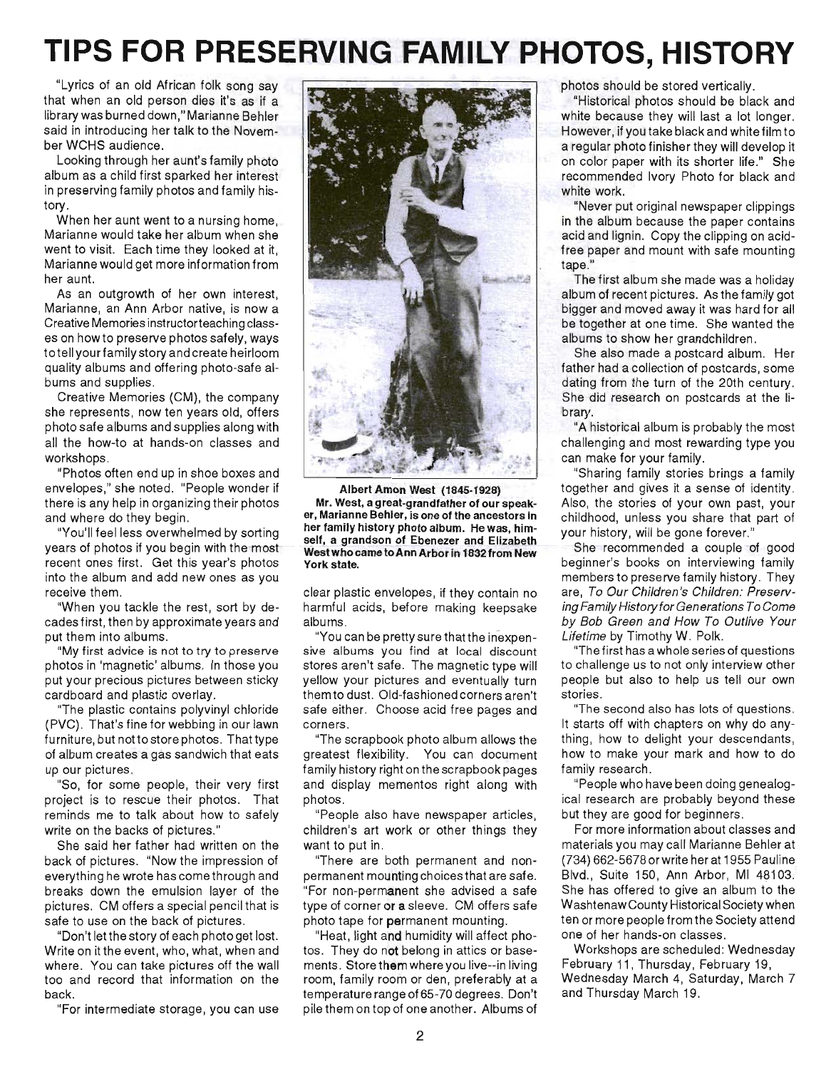# **TIPS FOR PRESERVING FAMILY PHOTOS, HISTORY**

"Lyrics of an old African folk song say that when an old person dies it's as if a library was burned down," Marianne Behler said in introducing her talk to the November WCHS audience.

Looking through her aunt's family photo album as a child first sparked her interest in preserving family photos and family history.

When her aunt went to a nursing home, Marianne would take her album when she went to visit. Each time they looked at it, Marianne would get more information from her aunt.

As an outgrowth of her own interest, Marianne, an Ann Arbor native, is now a Creative Memories instructorteaching classes on how to preserve photos safely, ways totell yourfamily story and create heirloom quality albums and offering photo-safe albums and supplies.

Creative Memories (CM), the company she represents, now ten years old, offers photo safe albums and supplies along with all the how-to at hands-on classes and workshops.

"Photos often end up in shoe boxes and envelopes," she noted. "People wonder if there is any help in organizing their photos and where do they begin.

"You'll feel less overwhelmed by sorting years of photos if you begin with the most recent ones first. Get this year's photos into the album and add new ones as you receive them.

"When you tackle the rest, sort by decades first, then by approximate years and put them into albums.

"My first advice is not to try to preserve photos in 'magnetic' albums. In those you put your precious pictures between sticky cardboard and plastic overlay.

"The plastic contains polyvinyl chloride (PVC). That's fine for webbing in our lawn furniture, but not to store photos. That type of album creates a gas sandwich that eats up our pictures.

"So, for some people, their very first project is to rescue their photos. That reminds me to talk about how to safely write on the backs of pictures."

She said her father had written on the back of pictures. "Now the impression of everything he wrote has come through and breaks down the emulsion layer of the pictures. CM offers a special pencil that is safe to use on the back of pictures .

"Don't let the story of each photo get lost. Write on it the event, who, what, when and where. You can take pictures off the wall too and record that information on the back.

"For intermediate storage, you can use



Albert Amon West (1845-1928) Mr. West, a great-grandfather of our speaker, Marianne Behler, is one of the ancestors in her family history photo album. He was, himself, a grandson of Ebenezer and Elizabeth West who came toAnn Arbor in 1832 from New York state.

clear plastic envelopes, if they contain no harmful acids, before making keepsake albums.

"You can be pretty sure that the inexpensive albums you find at local discount stores aren't safe. The magnetic type will yellow your pictures and eventually turn themto dust. Old-fashioned corners aren't safe either. Choose acid free pages and corners .

"The scrapbook photo album allows the greatest flexibility. You can document family history right on the scrapbook pages and display mementos right along with photos.

"People also have newspaper articles, children's art work or other things they want to put in.

"There are both permanent and nonpermanent mounting choices that are safe. "For non-permanent she advised a safe type of corner or a sleeve. CM offers safe photo tape for permanent mounting.

"Heat, light and humidity will affect photos. They do not belong in attics or basements. Store them where you live--in living room, family room or den, preferably at a temperature range of 65-70 degrees. Don't pile them on top of one another. Albums of

photos should be stored vertically.

"Historical photos should be black and white because they will last a lot longer. However, if you take black and white film to a regular photo finisher they will develop it on color paper with its shorter life ." She recommended Ivory Photo for black and white work.

"Never put original newspaper clippings in the album because the paper contains acid and lignin. Copy the clipping on acidfree paper and mount with safe mounting tape."

The first album she made was a holiday album of recent pictures. As the family got bigger and moved away it was hard for all be together at one time. She wanted the albums to show her grandchildren.

She also made a postcard album. Her father had a collection of postcards, some dating from the turn of the 20th century. She did research on postcards at the library.

"A historical album is probably the most challenging and most rewarding type you can make for your family.

"Sharing family stories brings a family together and gives it a sense of identity. Also, the stories of your own past, your childhood, unless you share that part of your history, will be gone forever."

She recommended a couple of good beginner's books on interviewing family members to preserve family history. They are, To Our Children's Children: Preserving Family History for Generations To Come by Bob Green and How To Outlive Your Lifetime by Timothy W. Polk.

"The first has a whole series of questions to challenge us to not only interview other people but also to help us tell our own . stories.

"The second also has lots of questions. It starts off with chapters on why do anything, how to delight your descendants, how to make your mark and how to do family research.

"People who have been doing genealogical research are probably beyond these but they are good for beginners.

For more information about classes and materials you may cali Marianne Behler at (734) 662-56780rwrite her at 1955 Pauline Blvd., Suite 150, Ann Arbor, MI 48103. She has offered to give an album to the WashtenawCounty Historical Society when ten or more people from the Society attend one of her hands-on classes .

Workshops are scheduled: Wednesday February 11, Thursday, February 19, Wednesday March 4, Saturday, March 7 and Thursday March 19.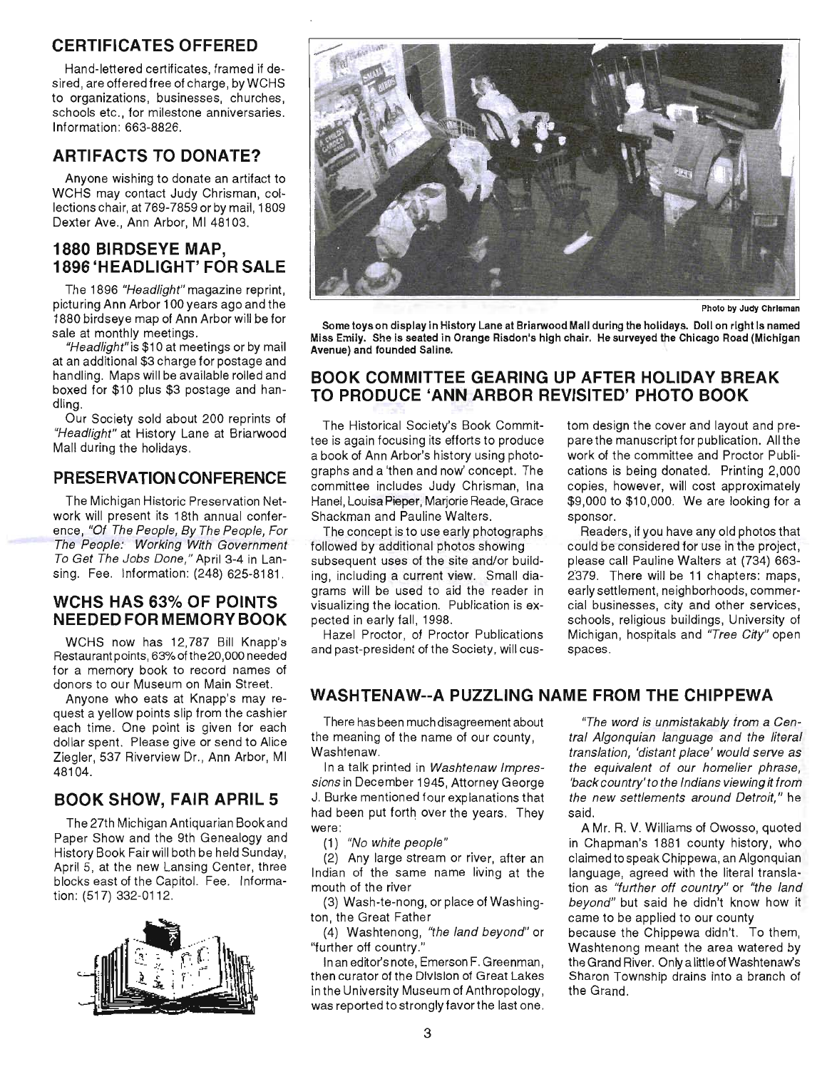# **CERTIFICATES OFFERED**

Hand-lettered certificates, framed if desired, are offered free of charge, byWCHS to organizations, businesses, churches, schools etc., for milestone anniversaries. Information: 663-8826.

# **ARTIFACTS TO DONATE?**

Anyone wishing to donate an artifact to WCHS may contact Judy Chrisman, collections chair, at 769-7859 or by mail, 1809 Dexter Ave., Ann Arbor, MI 48103.

## **1880 BIRDSEYE MAP, 1896 'HEADLIGHT' FOR SALE**

The 1896 "Headlight" magazine reprint, picturing Ann Arbor 100 years ago and the 1880 birdseye map of Ann Arbor will be for sale at monthly meetings.

"Headlight" is \$10 at meetings or by mail at an additional \$3 charge for postage and handling. Maps will be available rolled and boxed for \$10 plus \$3 postage and handling.

Our Society sold about 200 reprints of "Headlight" at History Lane at Briarwood Mall during the holidays.

## **PRESERVATION CONFERENCE**

The Michigan Historic Preservation Network will present its 18th annual conference, "Of The People, By The People, For The People: Working With Government To Get The Jobs Done," April 3-4 in Lansing. Fee. Information: (248) 625-8181.

#### **WCHS HAS 63% OF POINTS**  NEEDED FOR MEMORY BOOK

WCHS now has 12,787 Bill Knapp's Restaurant points, 63% of the 20,000 needed for a memory book to record names of donors to our Museum on Main Street.

Anyone who eats at Knapp's may request a yellow points slip from the cashier each time. One point is given for each dollar spent. Please give or send to Alice Ziegler, 537 Riverview Dr., Ann Arbor, MI 48104.

# **BOOK SHOW, FAIR APRIL 5**

The 27th Michigan Antiquarian Book and Paper Show and the 9th Genealogy and History Book Fair will both be held Sunday, April 5, at the new Lansing Center, three blocks east of the Capitol. Fee. Information: (517) 332-0112.





Photo by Judy Chrisman

Some toys on display in History Lane at Briarwood Mall during the holidays. Doll on right Is named Miss Emily. She is seated In Orange Risdon's high chair. He surveyed the Chicago Road (Michigan Avenue) and founded Saline.

#### **BOOK COMMITTEE GEARING UP AFTER HOLIDAY BREAK TO PRODUCE 'ANN ARBOR REVISITED' PHOTO BOOK**

The Historical Society's Book Committee is again focusing its efforts to produce a book of Ann Arbor's history using photographs and a 'then and now' concept. The committee includes Judy Chrisman, Ina Hanel, Louisa Pieper, Marjorie Reade, Grace Shackman and Pauline Walters.

The concept is to use early photographs followed by additional photos showing subsequent uses of the site and/or building, including a current view. Small diagrams will be used to aid the reader in visualizing the location. Publication is expected in early fall, 1998.

Hazel Proctor, of Proctor Publications and past-president of the Society, will custom design the cover and layout and prepare the manuscript for publication. All the work of the committee and Proctor Publications is being donated. Printing 2,000 copies, however, will cost approximately \$9,000 to \$10,000. We are looking for a sponsor.

Readers, if you have any old photos that could be considered for use in the project, please call Pauline Walters at (734) 663- 2379. There will be 11 chapters: maps, early settlement, neighborhoods, commercial businesses, city and other services, schools, religious buildings, University of Michigan, hospitals and "Tree City" open spaces.

## **WASHTENAW--A PUZZLING NAME FROM THE CHIPPEWA**

There has been much disagreement about the meaning of the name of our county, Washtenaw.

In a talk printed in Washtenaw Impressions in December 1945, Attorney George J. Burke mentioned four explanations that had been put forth over the years. They were:

(1) "No white people"

(2) Any large stream or river, after an Indian of the same name living at the mouth of the river

(3) Wash-te-nong, or place of Washington, the Great Father

(4) Washtenong, "the land beyond" or "further off country." '

In an editor's note, Emerson F. Greenman, then curator of the Division of Great Lakes in the University Museum of Anthropology, was reported to strongly favor the last one.

"The word is unmistakably from a Central Algonquian language and the literal translation, 'distant place' would serve as the equivalent of our homelier phrase, 'back country'to the Indians viewing it from the new settlements around Detroit," he said.

A Mr. R. V. Williams of Owosso, quoted in Chapman's 1881 county history, who claimed to speak Chippewa, an Algonquian language, agreed with the literal translation as "further off country" or "the land beyond" but said he didn't know how it came to be applied to our county

because the Chippewa didn't. To them, Washtenong meant the area watered by the Grand River. Only a little of Washtenaw's Sharon Township drains into a branch of the Grand.